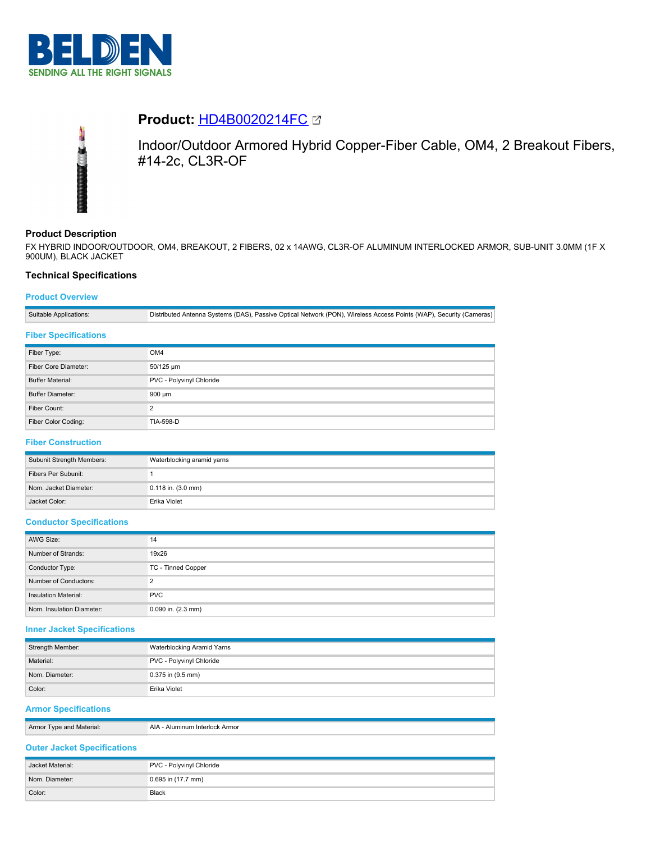

# **Product:** [HD4B0020214FC](https://catalog.belden.com/index.cfm?event=pd&p=PF_HD4B0020214FC&tab=downloads)



Indoor/Outdoor Armored Hybrid Copper-Fiber Cable, OM4, 2 Breakout Fibers, #14-2c, CL3R-OF

# **Product Description**

FX HYBRID INDOOR/OUTDOOR, OM4, BREAKOUT, 2 FIBERS, 02 x 14AWG, CL3R-OF ALUMINUM INTERLOCKED ARMOR, SUB-UNIT 3.0MM (1F X 900UM), BLACK JACKET

## **Technical Specifications**

## **Product Overview**

Suitable Applications: Distributed Antenna Systems (DAS), Passive Optical Network (PON), Wireless Access Points (WAP), Security (Cameras)

## **Fiber Specifications**

| Fiber Type:             | OM4                      |
|-------------------------|--------------------------|
| Fiber Core Diameter:    | 50/125 um                |
| <b>Buffer Material:</b> | PVC - Polyvinyl Chloride |
| <b>Buffer Diameter:</b> | $900 \mu m$              |
| Fiber Count:            | $\Omega$                 |
| Fiber Color Coding:     | <b>TIA-598-D</b>         |

#### **Fiber Construction**

| Subunit Strength Members: | Waterblocking aramid yarns |
|---------------------------|----------------------------|
| Fibers Per Subunit:       |                            |
| Nom. Jacket Diameter:     | $0.118$ in. $(3.0$ mm)     |
| Jacket Color:             | Erika Violet               |

#### **Conductor Specifications**

| AWG Size:                 | 14                 |
|---------------------------|--------------------|
| Number of Strands:        | 19x26              |
| Conductor Type:           | TC - Tinned Copper |
| Number of Conductors:     | ົ                  |
| Insulation Material:      | <b>PVC</b>         |
| Nom. Insulation Diameter: | 0.090 in. (2.3 mm) |

## **Inner Jacket Specifications**

| Strength Member: | Waterblocking Aramid Yarns |
|------------------|----------------------------|
| Material:        | PVC - Polyvinyl Chloride   |
| Nom. Diameter:   | 0.375 in (9.5 mm)          |
| Color:           | Erika Violet               |

## **Armor Specifications**

| Armor<br>l vne<br>and Material. | . Armor<br>יי |
|---------------------------------|---------------|
|                                 |               |

## **Outer Jacket Specifications**

| Jacket Material: | PVC - Polyvinyl Chloride |
|------------------|--------------------------|
| Nom. Diameter:   | 0.695 in (17.7 mm)       |
| Color:           | Black                    |